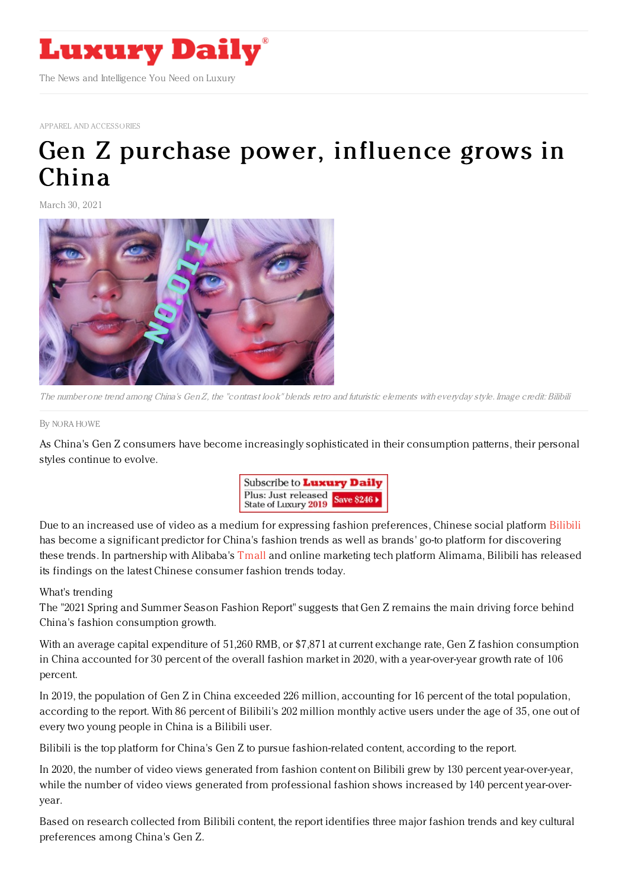

APPAREL AND [ACCESSORIES](https://www.luxurydaily.com/category/sectors/apparel-and-accessories/)

## Gen Z purchase power, [influence](https://www.luxurydaily.com/gen-z-fashion-trends-china-report-bilibili-alibaba/) grows in China

March 30, 2021



The number one trend among China's Gen Z, the "contrast look" blends retro and futuristic elements with everyday style. Image credit: Bilibili

## By NORA [HOWE](file:///author/nora-howe)

As China's Gen Z consumers have become increasingly sophisticated in their consumption patterns, their personal styles continue to evolve.



Due to an increased use of video as a medium for expressing fashion preferences, Chinese social platform [Bilibili](https://www.bilibili.com/) has become a significant predictor for China's fashion trends as well as brands' go-to platform for discovering these trends. In partnership with Alibaba's [Tmall](https://www.tmall.com/) and online marketing tech platform Alimama, Bilibili has released its findings on the latest Chinese consumer fashion trends today.

## What's trending

The "2021 Spring and Summer Season Fashion Report" suggests that Gen Z remains the main driving force behind China's fashion consumption growth.

With an average capital expenditure of 51,260 RMB, or \$7,871 at current exchange rate, Gen Z fashion consumption in China accounted for 30 percent of the overall fashion market in 2020, with a year-over-year growth rate of 106 percent.

In 2019, the population of Gen Z in China exceeded 226 million, accounting for 16 percent of the total population, according to the report. With 86 percent of Bilibili's 202 million monthly active users under the age of 35, one out of every two young people in China is a Bilibili user.

Bilibili is the top platform for China's Gen Z to pursue fashion-related content, according to the report.

In 2020, the number of video views generated from fashion content on Bilibili grew by 130 percent year-over-year, while the number of video views generated from professional fashion shows increased by 140 percent year-overyear.

Based on research collected from Bilibili content, the report identifies three major fashion trends and key cultural preferences among China's Gen Z.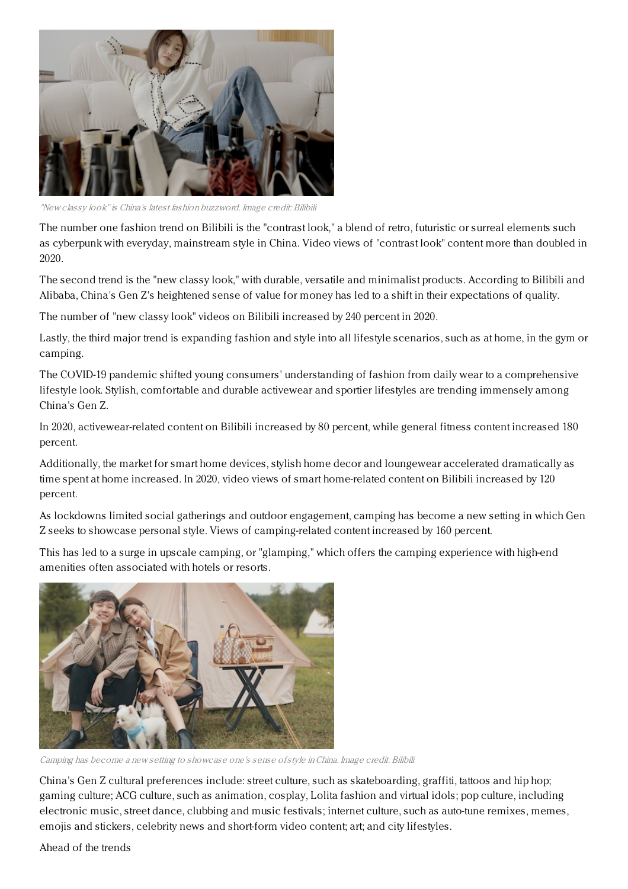

"New classy look"is China's latest fashion buzzword. Image credit: Bilibili

The number one fashion trend on Bilibili is the "contrast look," a blend of retro, futuristic or surreal elements such as cyberpunk with everyday, mainstream style in China. Video views of "contrast look" content more than doubled in 2020.

The second trend is the "new classy look," with durable, versatile and minimalist products. According to Bilibili and Alibaba, China's Gen Z's heightened sense of value for money has led to a shift in their expectations of quality.

The number of "new classy look" videos on Bilibili increased by 240 percent in 2020.

Lastly, the third major trend is expanding fashion and style into all lifestyle scenarios, such as at home, in the gym or camping.

The COVID-19 pandemic shifted young consumers' understanding of fashion from daily wear to a comprehensive lifestyle look. Stylish, comfortable and durable activewear and sportier lifestyles are trending immensely among China's Gen Z.

In 2020, activewear-related content on Bilibili increased by 80 percent, while general fitness content increased 180 percent.

Additionally, the market for smart home devices, stylish home decor and loungewear accelerated dramatically as time spent at home increased. In 2020, video views of smart home-related content on Bilibili increased by 120 percent.

As lockdowns limited social gatherings and outdoor engagement, camping has become a new setting in which Gen Z seeks to showcase personal style. Views of camping-related content increased by 160 percent.

This has led to a surge in upscale camping, or "glamping," which offers the camping experience with high-end amenities often associated with hotels or resorts.



Camping has become <sup>a</sup> new setting to showcase one's sense ofstyle inChina. Image credit: Bilibili

China's Gen Z cultural preferences include: street culture, such as skateboarding, graffiti, tattoos and hip hop; gaming culture; ACG culture, such as animation, cosplay, Lolita fashion and virtual idols; pop culture, including electronic music, street dance, clubbing and music festivals; internet culture, such as auto-tune remixes, memes, emojis and stickers, celebrity news and short-form video content; art; and city lifestyles.

Ahead of the trends